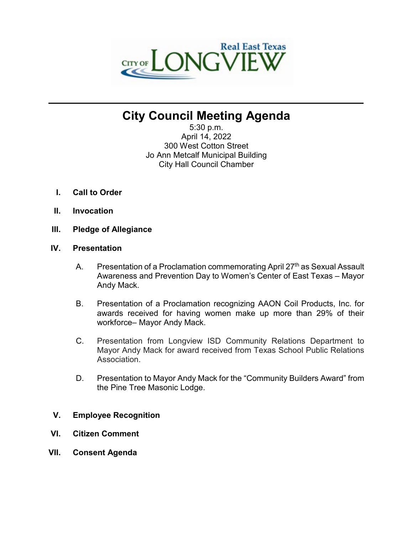

# **City Council Meeting Agenda**

**\_\_\_\_\_\_\_\_\_\_\_\_\_\_\_\_\_\_\_\_\_\_\_\_\_\_\_\_\_\_\_\_\_\_\_\_\_\_\_\_\_\_\_\_\_\_\_\_\_\_\_\_\_\_\_\_\_\_\_\_\_\_\_\_\_\_\_\_\_\_**

5:30 p.m. April 14, 2022 300 West Cotton Street Jo Ann Metcalf Municipal Building City Hall Council Chamber

- **I. Call to Order**
- **II. Invocation**
- **III. Pledge of Allegiance**

## **IV. Presentation**

- A. Presentation of a Proclamation commemorating April  $27<sup>th</sup>$  as Sexual Assault Awareness and Prevention Day to Women's Center of East Texas – Mayor Andy Mack.
- B. Presentation of a Proclamation recognizing AAON Coil Products, Inc. for awards received for having women make up more than 29% of their workforce– Mayor Andy Mack.
- C. Presentation from Longview ISD Community Relations Department to Mayor Andy Mack for award received from Texas School Public Relations Association.
- D. Presentation to Mayor Andy Mack for the "Community Builders Award" from the Pine Tree Masonic Lodge.
- **V. Employee Recognition**
- **VI. Citizen Comment**
- **VII. Consent Agenda**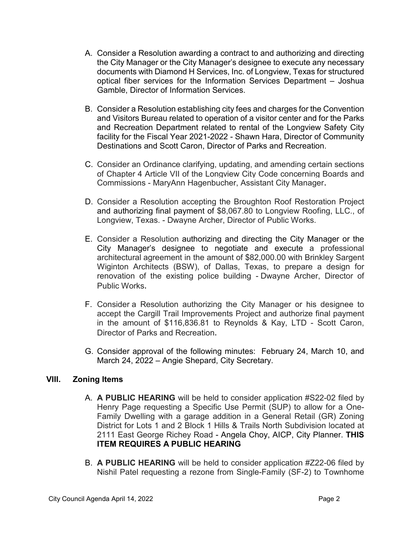- A. Consider a Resolution awarding a contract to and authorizing and directing the City Manager or the City Manager's designee to execute any necessary documents with Diamond H Services, Inc. of Longview, Texas for structured optical fiber services for the Information Services Department – Joshua Gamble, Director of Information Services.
- B. Consider a Resolution establishing city fees and charges for the Convention and Visitors Bureau related to operation of a visitor center and for the Parks and Recreation Department related to rental of the Longview Safety City facility for the Fiscal Year 2021-2022 - Shawn Hara, Director of Community Destinations and Scott Caron, Director of Parks and Recreation.
- C. Consider an Ordinance clarifying, updating, and amending certain sections of Chapter 4 Article VII of the Longview City Code concerning Boards and Commissions - MaryAnn Hagenbucher, Assistant City Manager.
- D. Consider a Resolution accepting the Broughton Roof Restoration Project and authorizing final payment of \$8,067.80 to Longview Roofing, LLC., of Longview, Texas. - Dwayne Archer, Director of Public Works.
- E. Consider a Resolution authorizing and directing the City Manager or the City Manager's designee to negotiate and execute a professional architectural agreement in the amount of \$82,000.00 with Brinkley Sargent Wiginton Architects (BSW), of Dallas, Texas, to prepare a design for renovation of the existing police building - Dwayne Archer, Director of Public Works.
- F. Consider a Resolution authorizing the City Manager or his designee to accept the Cargill Trail Improvements Project and authorize final payment in the amount of \$116,836.81 to Reynolds & Kay, LTD - Scott Caron, Director of Parks and Recreation.
- G. Consider approval of the following minutes: February 24, March 10, and March 24, 2022 – Angie Shepard, City Secretary.

## **VIII. Zoning Items**

- A. **A PUBLIC HEARING** will be held to consider application #S22-02 filed by Henry Page requesting a Specific Use Permit (SUP) to allow for a One-Family Dwelling with a garage addition in a General Retail (GR) Zoning District for Lots 1 and 2 Block 1 Hills & Trails North Subdivision located at 2111 East George Richey Road - Angela Choy, AICP, City Planner. **THIS ITEM REQUIRES A PUBLIC HEARING**
- B. **A PUBLIC HEARING** will be held to consider application #Z22-06 filed by Nishil Patel requesting a rezone from Single-Family (SF-2) to Townhome